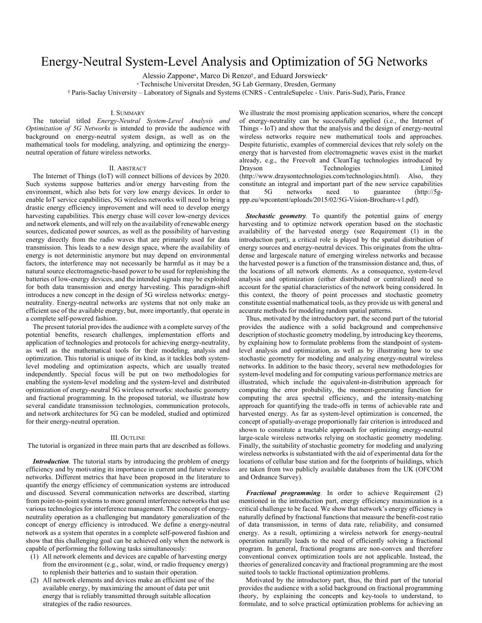# Energy-Neutral System-Level Analysis and Optimization of 5G Networks

Alessio Zappone∗, Marco Di Renzo†, and Eduard Jorswieck<sup>∗</sup>

<sup>∗</sup> Technische Universitat Dresden, 5G Lab Germany, Dresden, Germany

† Paris-Saclay University – Laboratory of Signals and Systems (CNRS - CentraleSupelec - Univ. Paris-Sud), Paris, France

### I. SUMMARY

The tutorial titled *Energy-Neutral System-Level Analysis and Optimization of 5G Networks* is intended to provide the audience with background on energy-neutral system design, as well as on the mathematical tools for modeling, analyzing, and optimizing the energyneutral operation of future wireless networks.

## II. ABSTRACT

The Internet of Things (IoT) will connect billions of devices by 2020. Such systems suppose batteries and/or energy harvesting from the environment, which also bets for very low energy devices. In order to enable IoT service capabilities, 5G wireless networks will need to bring a drastic energy efficiency improvement and will need to develop energy harvesting capabilities. This energy chase will cover low-energy devices and network elements, and will rely on the availability of renewable energy sources, dedicated power sources, as well as the possibility of harvesting energy directly from the radio waves that are primarily used for data transmission. This leads to a new design space, where the availability of energy is not deterministic anymore but may depend on environmental factors, the interference may not necessarily be harmful as it may be a natural source electromagnetic-based power to be used for replenishing the batteries of low-energy devices, and the intended signals may be exploited for both data transmission and energy harvesting. This paradigm-shift introduces a new concept in the design of 5G wireless networks: energyneutrality. Energy-neutral networks are systems that not only make an efficient use of the available energy, but, more importantly, that operate in a complete self-powered fashion.

The present tutorial provides the audience with a complete survey of the potential benefits, research challenges, implementation efforts and application of technologies and protocols for achieving energy-neutrality, as well as the mathematical tools for their modeling, analysis and optimization. This tutorial is unique of its kind, as it tackles both systemlevel modeling and optimization aspects, which are usually treated independently. Special focus will be put on two methodologies for enabling the system-level modeling and the system-level and distributed optimization of energy-neutral 5G wireless networks: stochastic geometry and fractional programming. In the proposed tutorial, we illustrate how several candidate transmission technologies, communication protocols, and network architectures for 5G can be modeled, studied and optimized for their energy-neutral operation.

#### III. OUTLINE

The tutorial is organized in three main parts that are described as follows.

*Introduction.* The tutorial starts by introducing the problem of energy efficiency and by motivating its importance in current and future wireless networks. Different metrics that have been proposed in the literature to quantify the energy efficiency of communication systems are introduced and discussed. Several communication networks are described, starting from point-to-point systems to more general interference networks that use various technologies for interference management. The concept of energyneutrality operation as a challenging but mandatory generalization of the concept of energy efficiency is introduced. We define a energy-neutral network as a system that operates in a complete self-powered fashion and show that this challenging goal can be achieved only when the network is capable of performing the following tasks simultaneously:

- (1) All network elements and devices are capable of harvesting energy from the environment (e.g., solar, wind, or radio frequency energy) to replenish their batteries and to sustain their operation.
- (2) All network elements and devices make an efficient use of the available energy, by maximizing the amount of data per unit energy that is reliably transmitted through suitable allocation strategies of the radio resources.

We illustrate the most promising application scenarios, where the concept of energy-neutrality can be successfully applied (i.e., the Internet of Things - IoT) and show that the analysis and the design of energy-neutral wireless networks require new mathematical tools and approaches. Despite futuristic, examples of commercial devices that rely solely on the energy that is harvested from electromagnetic waves exist in the market already, e.g., the Freevolt and CleanTag technologies introduced by Drayson Technologies Limited (http://www.draysontechnologies.com/technologies.html). Also, they constitute an integral and important part of the new service capabilities that 5G networks need to guarantee (http://5gppp.eu/wpcontent/uploads/2015/02/5G-Vision-Brochure-v1.pdf).

*Stochastic geometry.* To quantify the potential gains of energy harvesting and to optimize network operation based on the stochastic availability of the harvested energy (see Requirement (1) in the introduction part), a critical role is played by the spatial distribution of energy sources and energy-neutral devices. This originates from the ultradense and largescale nature of emerging wireless networks and because the harvested power is a function of the transmission distance and, thus, of the locations of all network elements. As a consequence, system-level analysis and optimization (either distributed or centralized) need to account for the spatial characteristics of the network being considered. In this context, the theory of point processes and stochastic geometry constitute essential mathematical tools, as they provide us with general and accurate methods for modeling random spatial patterns.

Thus, motivated by the introductory part, the second part of the tutorial provides the audience with a solid background and comprehensive description of stochastic geometry modeling, by introducing key theorems, by explaining how to formulate problems from the standpoint of systemlevel analysis and optimization, as well as by illustrating how to use stochastic geometry for modeling and analyzing energy-neutral wireless networks. In addition to the basic theory, several new methodologies for system-level modeling and for computing various performance metrics are illustrated, which include the equivalent-in-distribution approach for computing the error probability, the moment-generating function for computing the area spectral efficiency, and the intensity-matching approach for quantifying the trade-offs in terms of achievable rate and harvested energy. As far as system-level optimization is concerned, the concept of spatially-average proportionally fair criterion is introduced and shown to constitute a tractable approach for optimizing energy-neutral large-scale wireless networks relying on stochastic geometry modeling. Finally, the suitability of stochastic geometry for modeling and analyzing wireless networks is substantiated with the aid of experimental data for the locations of cellular base station and for the footprints of buildings, which are taken from two publicly available databases from the UK (OFCOM and Ordnance Survey).

*Fractional programming.* In order to achieve Requirement (2) mentioned in the introduction part, energy efficiency maximization is a critical challenge to be faced. We show that network's energy efficiency is naturally defined by fractional functions that measure the benefit-cost ratio of data transmission, in terms of data rate, reliability, and consumed energy. As a result, optimizing a wireless network for energy-neutral operation naturally leads to the need of efficiently solving a fractional program. In general, fractional programs are non-convex and therefore conventional convex optimization tools are not applicable. Instead, the theories of generalized concavity and fractional programming are the most suited tools to tackle fractional optimization problems.

Motivated by the introductory part, thus, the third part of the tutorial provides the audience with a solid background on fractional programming theory, by explaining the concepts and key-tools to understand, to formulate, and to solve practical optimization problems for achieving an